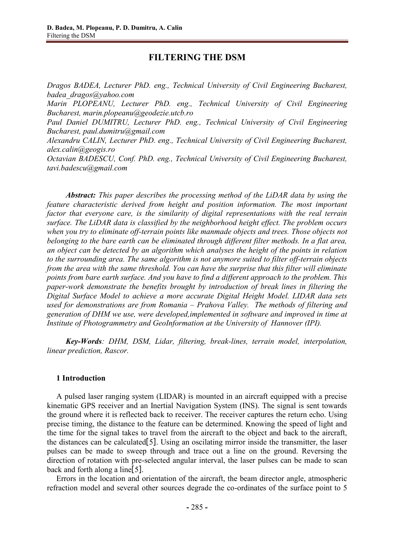# **FILTERING THE DSM**

*Dragos BADEA, Lecturer PhD. eng., Technical University of Civil Engineering Bucharest, badea\_dragos@yahoo.com*

*Marin PLOPEANU, Lecturer PhD. eng., Technical University of Civil Engineering Bucharest, marin.plopeanu@geodezie.utcb.ro*

*Paul Daniel DUMITRU, Lecturer PhD. eng., Technical University of Civil Engineering Bucharest, paul.dumitru@gmail.com*

*Alexandru CALIN, Lecturer PhD. eng., Technical University of Civil Engineering Bucharest, alex.calin@geogis.ro*

*Octavian BADESCU, Conf. PhD. eng., Technical University of Civil Engineering Bucharest, tavi.badescu@gmail.com*

*Abstract: This paper describes the processing method of the LiDAR data by using the feature characteristic derived from height and position information. The most important factor that everyone care, is the similarity of digital representations with the real terrain surface. The LiDAR data is classified by the neighborhood height effect. The problem occurs when you try to eliminate off-terrain points like manmade objects and trees. Those objects not belonging to the bare earth can be eliminated through different filter methods. In a flat area, an object can be detected by an algorithm which analyses the height of the points in relation to the surrounding area. The same algorithm is not anymore suited to filter off-terrain objects from the area with the same threshold. You can have the surprise that this filter will eliminate points from bare earth surface. And you have to find a different approach to the problem. This paper-work demonstrate the benefits brought by introduction of break lines in filtering the Digital Surface Model to achieve a more accurate Digital Height Model. LIDAR data sets used for demonstrations are from Romania – Prahova Valley. The methods of filtering and generation of DHM we use, were developed,implemented in software and improved in time at Institute of Photogrammetry and GeoInformation at the University of Hannover (IPI).* 

*Key-Words: DHM, DSM, Lidar, filtering, break-lines, terrain model, interpolation, linear prediction, Rascor.*

## **1 Introduction**

A pulsed laser ranging system (LIDAR) is mounted in an aircraft equipped with a precise kinematic GPS receiver and an Inertial Navigation System (INS). The signal is sent towards the ground where it is reflected back to receiver. The receiver captures the return echo. Using precise timing, the distance to the feature can be determined. Knowing the speed of light and the time for the signal takes to travel from the aircraft to the object and back to the aircraft, the distances can be calculated [5]. Using an oscilating mirror inside the transmitter, the laser pulses can be made to sweep through and trace out a line on the ground. Reversing the direction of rotation with pre-selected angular interval, the laser pulses can be made to scan back and forth along a line  $[5]$ .

Errors in the location and orientation of the aircraft, the beam director angle, atmospheric refraction model and several other sources degrade the co-ordinates of the surface point to 5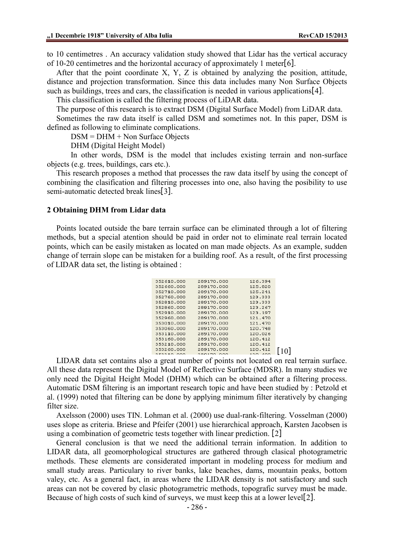to 10 centimetres . An accuracy validation study showed that Lidar has the vertical accuracy of 10-20 centimetres and the horizontal accuracy of approximately 1 meter[6].

After that the point coordinate  $X$ ,  $Y$ ,  $Z$  is obtained by analyzing the position, attitude, distance and projection transformation. Since this data includes many Non Surface Objects such as buildings, trees and cars, the classification is needed in various applications  $[4]$ .

This classification is called the filtering process of LiDAR data.

The purpose of this research is to extract DSM (Digital Surface Model) from LiDAR data.

Sometimes the raw data itself is called DSM and sometimes not. In this paper, DSM is defined as following to eliminate complications.

DSM = DHM + Non Surface Objects

DHM (Digital Height Model)

In other words, DSM is the model that includes existing terrain and non-surface objects (e.g. trees, buildings, cars etc.).

This research proposes a method that processes the raw data itself by using the concept of combining the clasification and filtering processes into one, also having the posibility to use semi-automatic detected break lines[3].

### **2 Obtaining DHM from Lidar data**

Points located outside the bare terrain surface can be eliminated through a lot of filtering methods, but a special atention should be paid in order not to eliminate real terrain located points, which can be easily mistaken as located on man made objects. As an example, sudden change of terrain slope can be mistaken for a building roof. As a result, of the first processing of LIDAR data set, the listing is obtained :

| 352610.000 | 289170.000 | 126.394 |  |
|------------|------------|---------|--|
| 352660.000 | 289170.000 | 125.820 |  |
| 352710.000 | 289170.000 | 125.241 |  |
| 352760.000 | 289170.000 | 123.333 |  |
| 352810.000 | 289170.000 | 123.333 |  |
| 352860.000 | 289170.000 | 123.267 |  |
| 352910.000 | 289170.000 | 123.197 |  |
| 352960.000 | 289170.000 | 121.470 |  |
| 353010.000 | 289170.000 | 121.470 |  |
| 353060.000 | 289170.000 | 120.748 |  |
| 353110.000 | 289170.000 | 120.026 |  |
| 353160.000 | 289170.000 | 120.412 |  |
| 353210.000 | 289170.000 | 120.412 |  |
| 353260.000 | 289170.000 | 120.412 |  |
| RERRIA ANA | 280170.000 | 120.400 |  |
|            |            |         |  |

LIDAR data set contains also a great number of points not located on real terrain surface. All these data represent the Digital Model of Reflective Surface (MDSR). In many studies we only need the Digital Height Model (DHM) which can be obtained after a filtering process. Automatic DSM filtering is an important research topic and have been studied by : Petzold et al. (1999) noted that filtering can be done by applying minimum filter iteratively by changing filter size.

Axelsson (2000) uses TIN. Lohman et al. (2000) use dual-rank-filtering. Vosselman (2000) uses slope as criteria. Briese and Pfeifer (2001) use hierarchical approach, Karsten Jacobsen is using a combination of geometric tests together with linear prediction. [2]

General conclusion is that we need the additional terrain information. In addition to LIDAR data, all geomorphological structures are gathered through clasical photogrametric methods. These elements are considerated important in modeling process for medium and small study areas. Particulary to river banks, lake beaches, dams, mountain peaks, bottom valey, etc. As a general fact, in areas where the LIDAR density is not satisfactory and such areas can not be covered by clasic photogrametric methods, topografic survey must be made. Because of high costs of such kind of surveys, we must keep this at a lower level [2].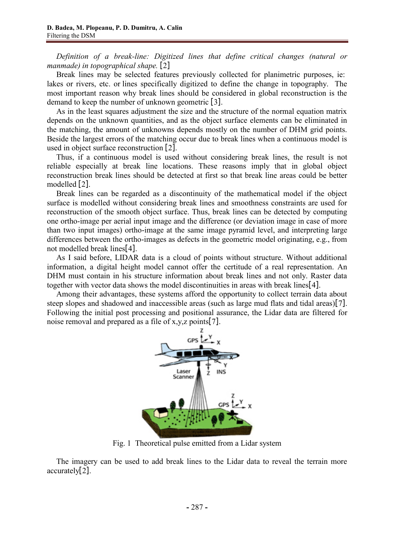*Definition of a break-line: Digitized lines that define critical changes (natural or manmade) in topographical shape.* [2]

Break lines may be selected features previously collected for planimetric purposes, ie: lakes or rivers, etc. or lines specifically digitized to define the change in topography. The most important reason why break lines should be considered in global reconstruction is the demand to keep the number of unknown geometric [3].

As in the least squares adjustment the size and the structure of the normal equation matrix depends on the unknown quantities, and as the object surface elements can be eliminated in the matching, the amount of unknowns depends mostly on the number of DHM grid points. Beside the largest errors of the matching occur due to break lines when a continuous model is used in object surface reconstruction  $[2]$ .

Thus, if a continuous model is used without considering break lines, the result is not reliable especially at break line locations. These reasons imply that in global object reconstruction break lines should be detected at first so that break line areas could be better modelled  $[2]$ .

Break lines can be regarded as a discontinuity of the mathematical model if the object surface is modelled without considering break lines and smoothness constraints are used for reconstruction of the smooth object surface. Thus, break lines can be detected by computing one ortho-image per aerial input image and the difference (or deviation image in case of more than two input images) ortho-image at the same image pyramid level, and interpreting large differences between the ortho-images as defects in the geometric model originating, e.g., from not modelled break lines[4].

As I said before, LIDAR data is a cloud of points without structure. Without additional information, a digital height model cannot offer the certitude of a real representation. An DHM must contain in his structure information about break lines and not only. Raster data together with vector data shows the model discontinuities in areas with break lines $[4]$ .

Among their advantages, these systems afford the opportunity to collect terrain data about steep slopes and shadowed and inaccessible areas (such as large mud flats and tidal areas)[7]. Following the initial post processing and positional assurance, the Lidar data are filtered for noise removal and prepared as a file of x,y,z points[7].



Fig. 1 Theoretical pulse emitted from a Lidar system

The imagery can be used to add break lines to the Lidar data to reveal the terrain more  $\arctan\left[\frac{2}{2}\right]$ .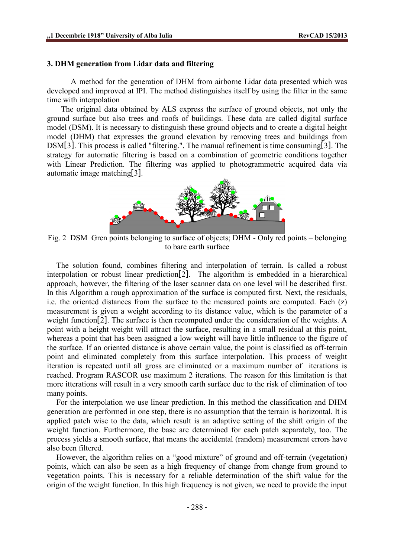# **3. DHM generation from Lidar data and filtering**

A method for the generation of DHM from airborne Lidar data presented which was developed and improved at IPI. The method distinguishes itself by using the filter in the same time with interpolation

The original data obtained by ALS express the surface of ground objects, not only the ground surface but also trees and roofs of buildings. These data are called digital surface model (DSM). It is necessary to distinguish these ground objects and to create a digital height model (DHM) that expresses the ground elevation by removing trees and buildings from  $DSM[3]$ . This process is called "filtering.". The manual refinement is time consuming[3]. The strategy for automatic filtering is based on a combination of geometric conditions together with Linear Prediction. The filtering was applied to photogrammetric acquired data via automatic image matching  $3$ .



Fig. 2 DSM Gren points belonging to surface of objects; DHM - Only red points – belonging to bare earth surface

The solution found, combines filtering and interpolation of terrain. Is called a robust interpolation or robust linear prediction [2]. The algorithm is embedded in a hierarchical approach, however, the filtering of the laser scanner data on one level will be described first. In this Algorithm a rough approximation of the surface is computed first. Next, the residuals, i.e. the oriented distances from the surface to the measured points are computed. Each (z) measurement is given a weight according to its distance value, which is the parameter of a weight function[2]. The surface is then recomputed under the consideration of the weights. A point with a height weight will attract the surface, resulting in a small residual at this point, whereas a point that has been assigned a low weight will have little influence to the figure of the surface. If an oriented distance is above certain value, the point is classified as off-terrain point and eliminated completely from this surface interpolation. This process of weight iteration is repeated until all gross are eliminated or a maximum number of iterations is reached. Program RASCOR use maximum 2 iterations. The reason for this limitation is that more itterations will result in a very smooth earth surface due to the risk of elimination of too many points.

For the interpolation we use linear prediction. In this method the classification and DHM generation are performed in one step, there is no assumption that the terrain is horizontal. It is applied patch wise to the data, which result is an adaptive setting of the shift origin of the weight function. Furthermore, the base are determined for each patch separately, too. The process yields a smooth surface, that means the accidental (random) measurement errors have also been filtered.

However, the algorithm relies on a "good mixture" of ground and off-terrain (vegetation) points, which can also be seen as a high frequency of change from change from ground to vegetation points. This is necessary for a reliable determination of the shift value for the origin of the weight function. In this high frequency is not given, we need to provide the input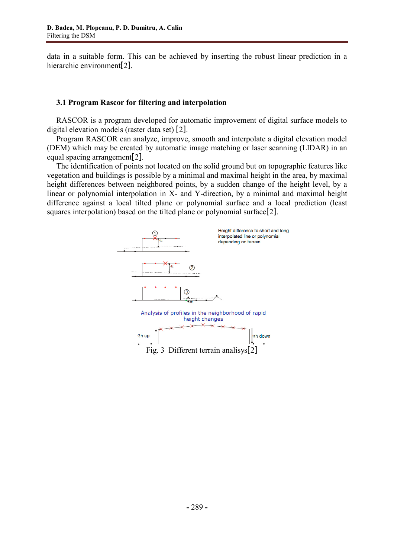data in a suitable form. This can be achieved by inserting the robust linear prediction in a hierarchic environment<sup>[2]</sup>.

# **3.1 Program Rascor for filtering and interpolation**

RASCOR is a program developed for automatic improvement of digital surface models to digital elevation models (raster data set)  $[2]$ .

Program RASCOR can analyze, improve, smooth and interpolate a digital elevation model (DEM) which may be created by automatic image matching or laser scanning (LIDAR) in an equal spacing arrangement  $2$ .

The identification of points not located on the solid ground but on topographic features like vegetation and buildings is possible by a minimal and maximal height in the area, by maximal height differences between neighbored points, by a sudden change of the height level, by a linear or polynomial interpolation in X- and Y-direction, by a minimal and maximal height difference against a local tilted plane or polynomial surface and a local prediction (least squares interpolation) based on the tilted plane or polynomial surface  $[2]$ .

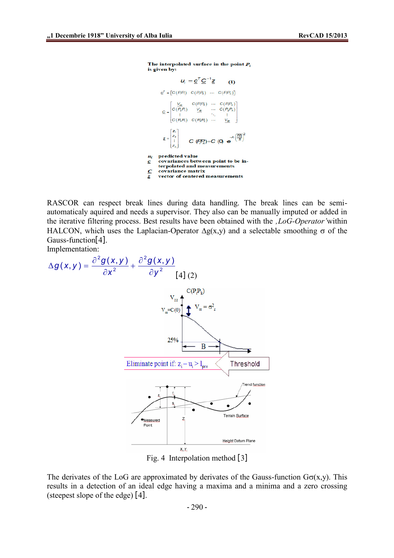The interpolated surface in the point  $P_i$ is given by:

$$
u_i = \underline{c}^T \underline{C}^{-1} \underline{z}
$$
 (1)  
\n
$$
\underline{c}^T = [C(P_i P_i) \ C(P_i P_2) \ \cdots \ C(P_i P_n)]
$$
  
\n
$$
\underline{c} = \begin{bmatrix} \frac{V_{2r}}{2} & C(P_i P_2) & \cdots & C(P_i P_n) \\ C(P_2 P_i) & \frac{V_{2r}}{2} & \cdots & C(P_2 P_n) \\ \vdots & \ddots & \vdots \\ C(P_i P_i) & C(P_i P_2) & \cdots & \frac{V_{2r}}{2} \end{bmatrix}
$$
  
\n
$$
\underline{z} = \begin{bmatrix} z_1 \\ z_2 \\ \vdots \\ z_n \end{bmatrix}
$$
 C  $(P_i P_k) = C$  (0)  $\underline{e}^{-A} \cdot \frac{(\overline{P_i P_k})^2}{B}$   
\n $u_i$  predicted value  
\ncovariances between point to be in-  
\ntepolated and measurements  
\n $\underline{c}$  covariance matrix  
\nvector of centered measurements

RASCOR can respect break lines during data handling. The break lines can be semiautomaticaly aquired and needs a supervisor. They also can be manually imputed or added in the iterative filtering process. Best results have been obtained with the *'LoG-Operator'*within HALCON, which uses the Laplacian-Operator  $\Delta g(x,y)$  and a selectable smoothing  $\sigma$  of the Gauss-function[4].

Implementation:



Fig. 4 Interpolation method  $\lceil 3 \rceil$ 

The derivates of the LoG are approximated by derivates of the Gauss-function  $G_{\sigma}(x,y)$ . This results in a detection of an ideal edge having a maxima and a minima and a zero crossing (steepest slope of the edge)  $[4]$ .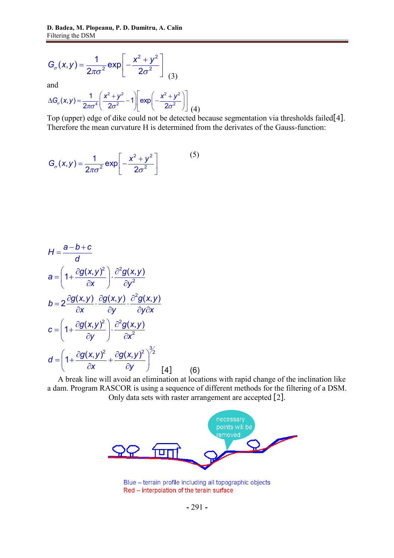$$
G_{\sigma}(x,y) = \frac{1}{2\pi\sigma^2} \exp\left[-\frac{x^2 + y^2}{2\sigma^2}\right]
$$
 (3)

and

$$
\Delta G_{\sigma}(x,y) = \frac{1}{2\pi\sigma^4} \left(\frac{x^2 + y^2}{2\sigma^2} - 1\right) \left[\exp\left(-\frac{x^2 + y^2}{2\sigma^2}\right)\right] (4)
$$

Top (upper) edge of dike could not be detected because segmentation via thresholds failed[4]. Therefore the mean curvature H is determined from the derivates of the Gauss-function:

$$
G_{\sigma}(x,y) = \frac{1}{2\pi\sigma^2} \exp\left[-\frac{x^2 + y^2}{2\sigma^2}\right]
$$
 (5)

$$
H = \frac{a - b + c}{d}
$$
  
\n
$$
a = \left(1 + \frac{\partial g(x, y)^2}{\partial x}\right) \cdot \frac{\partial^2 g(x, y)}{\partial y^2}
$$
  
\n
$$
b = 2 \frac{\partial g(x, y)}{\partial x} \cdot \frac{\partial g(x, y)}{\partial y} \cdot \frac{\partial^2 g(x, y)}{\partial y \partial x}
$$
  
\n
$$
c = \left(1 + \frac{\partial g(x, y)^2}{\partial y}\right) \cdot \frac{\partial^2 g(x, y)}{\partial x^2}
$$
  
\n
$$
d = \left(1 + \frac{\partial g(x, y)^2}{\partial x} + \frac{\partial g(x, y)^2}{\partial y}\right)^{\frac{3}{2}}
$$
  
\n
$$
d = \left(1 + \frac{\partial g(x, y)^2}{\partial x} + \frac{\partial g(x, y)^2}{\partial y}\right)^{\frac{3}{2}}
$$
  
\n
$$
[4] (6)
$$

A break line will avoid an elimination at locations with rapid change of the inclination like a dam. Program RASCOR is using a sequence of different methods for the filtering of a DSM. Only data sets with raster arrangement are accepted [2].



Blue - terrain profile including all topographic objects Red - interpolation of the terain surface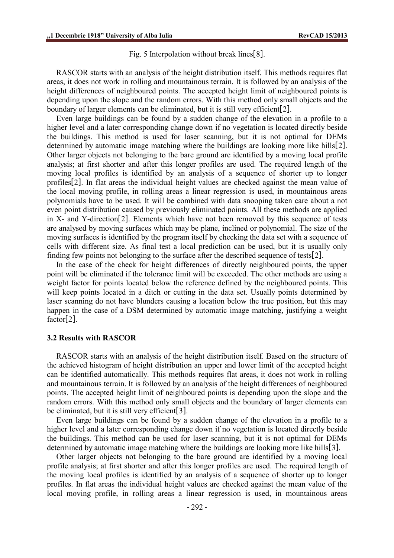Fig. 5 Interpolation without break lines  $[8]$ .

RASCOR starts with an analysis of the height distribution itself. This methods requires flat areas, it does not work in rolling and mountainous terrain. It is followed by an analysis of the height differences of neighboured points. The accepted height limit of neighboured points is depending upon the slope and the random errors. With this method only small objects and the boundary of larger elements can be eliminated, but it is still very efficient [2].

Even large buildings can be found by a sudden change of the elevation in a profile to a higher level and a later corresponding change down if no vegetation is located directly beside the buildings. This method is used for laser scanning, but it is not optimal for DEMs determined by automatic image matching where the buildings are looking more like hills [2]. Other larger objects not belonging to the bare ground are identified by a moving local profile analysis; at first shorter and after this longer profiles are used. The required length of the moving local profiles is identified by an analysis of a sequence of shorter up to longer profiles<sup>[2]</sup>. In flat areas the individual height values are checked against the mean value of the local moving profile, in rolling areas a linear regression is used, in mountainous areas polynomials have to be used. It will be combined with data snooping taken care about a not even point distribution caused by previously eliminated points. All these methods are applied in  $X$ - and Y-direction<sup>[2]</sup>. Elements which have not been removed by this sequence of tests are analysed by moving surfaces which may be plane, inclined or polynomial. The size of the moving surfaces is identified by the program itself by checking the data set with a sequence of cells with different size. As final test a local prediction can be used, but it is usually only finding few points not belonging to the surface after the described sequence of tests[2].

In the case of the check for height differences of directly neighboured points, the upper point will be eliminated if the tolerance limit will be exceeded. The other methods are using a weight factor for points located below the reference defined by the neighboured points. This will keep points located in a ditch or cutting in the data set. Usually points determined by laser scanning do not have blunders causing a location below the true position, but this may happen in the case of a DSM determined by automatic image matching, justifying a weight  $factor[2]$ .

### **3.2 Results with RASCOR**

RASCOR starts with an analysis of the height distribution itself. Based on the structure of the achieved histogram of height distribution an upper and lower limit of the accepted height can be identified automatically. This methods requires flat areas, it does not work in rolling and mountainous terrain. It is followed by an analysis of the height differences of neighboured points. The accepted height limit of neighboured points is depending upon the slope and the random errors. With this method only small objects and the boundary of larger elements can be eliminated, but it is still very efficient [3].

Even large buildings can be found by a sudden change of the elevation in a profile to a higher level and a later corresponding change down if no vegetation is located directly beside the buildings. This method can be used for laser scanning, but it is not optimal for DEMs determined by automatic image matching where the buildings are looking more like hills[3].

Other larger objects not belonging to the bare ground are identified by a moving local profile analysis; at first shorter and after this longer profiles are used. The required length of the moving local profiles is identified by an analysis of a sequence of shorter up to longer profiles. In flat areas the individual height values are checked against the mean value of the local moving profile, in rolling areas a linear regression is used, in mountainous areas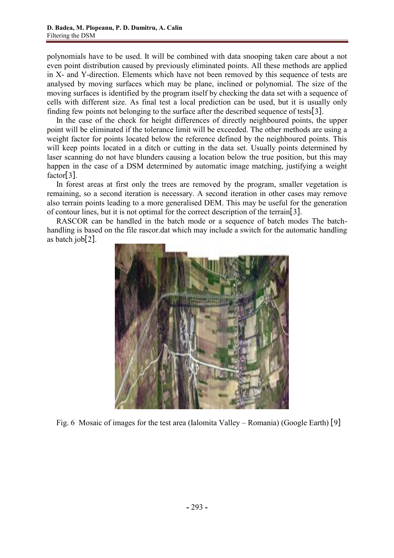polynomials have to be used. It will be combined with data snooping taken care about a not even point distribution caused by previously eliminated points. All these methods are applied in X- and Y-direction. Elements which have not been removed by this sequence of tests are analysed by moving surfaces which may be plane, inclined or polynomial. The size of the moving surfaces is identified by the program itself by checking the data set with a sequence of cells with different size. As final test a local prediction can be used, but it is usually only finding few points not belonging to the surface after the described sequence of tests  $3$ .

In the case of the check for height differences of directly neighboured points, the upper point will be eliminated if the tolerance limit will be exceeded. The other methods are using a weight factor for points located below the reference defined by the neighboured points. This will keep points located in a ditch or cutting in the data set. Usually points determined by laser scanning do not have blunders causing a location below the true position, but this may happen in the case of a DSM determined by automatic image matching, justifying a weight  $factor[3]$ .

In forest areas at first only the trees are removed by the program, smaller vegetation is remaining, so a second iteration is necessary. A second iteration in other cases may remove also terrain points leading to a more generalised DEM. This may be useful for the generation of contour lines, but it is not optimal for the correct description of the terrain[3].

RASCOR can be handled in the batch mode or a sequence of batch modes The batchhandling is based on the file rascor.dat which may include a switch for the automatic handling as batch  $\text{job}[2]$ .



Fig. 6 Mosaic of images for the test area (Ialomita Valley – Romania) (Google Earth) [9]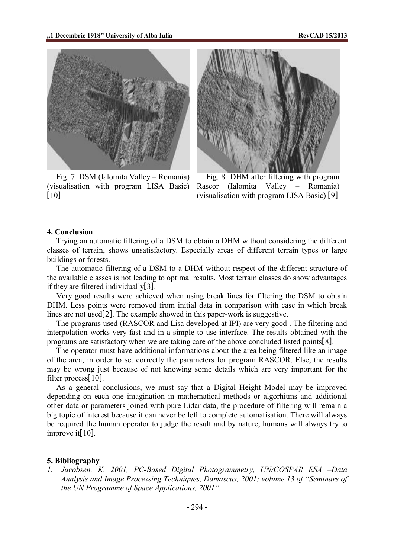

Fig. 7 DSM (Ialomita Valley – Romania) (visualisation with program LISA Basic)  $\lceil 10 \rceil$ 



Fig. 8 DHM after filtering with program Rascor (Ialomita Valley – Romania) (visualisation with program LISA Basic)  $[9]$ 

### **4. Conclusion**

Trying an automatic filtering of a DSM to obtain a DHM without considering the different classes of terrain, shows unsatisfactory. Especially areas of different terrain types or large buildings or forests.

The automatic filtering of a DSM to a DHM without respect of the different structure of the available classes is not leading to optimal results. Most terrain classes do show advantages if they are filtered individually  $3$ .

Very good results were achieved when using break lines for filtering the DSM to obtain DHM. Less points were removed from initial data in comparison with case in which break lines are not used[2]. The example showed in this paper-work is suggestive.

The programs used (RASCOR and Lisa developed at IPI) are very good . The filtering and interpolation works very fast and in a simple to use interface. The results obtained with the programs are satisfactory when we are taking care of the above concluded listed points  $[8]$ .

The operator must have additional informations about the area being filtered like an image of the area, in order to set correctly the parameters for program RASCOR. Else, the results may be wrong just because of not knowing some details which are very important for the filter process $[10]$ .

As a general conclusions, we must say that a Digital Height Model may be improved depending on each one imagination in mathematical methods or algorhitms and additional other data or parameters joined with pure Lidar data, the procedure of filtering will remain a big topic of interest because it can never be left to complete automatisation. There will always be required the human operator to judge the result and by nature, humans will always try to improve it[ $10$ ].

#### **5. Bibliography**

*1. Jacobsen, K. 2001, PC-Based Digital Photogrammetry, UN/COSPAR ESA –Data Analysis and Image Processing Techniques, Damascus, 2001; volume 13 of "Seminars of the UN Programme of Space Applications, 2001".*